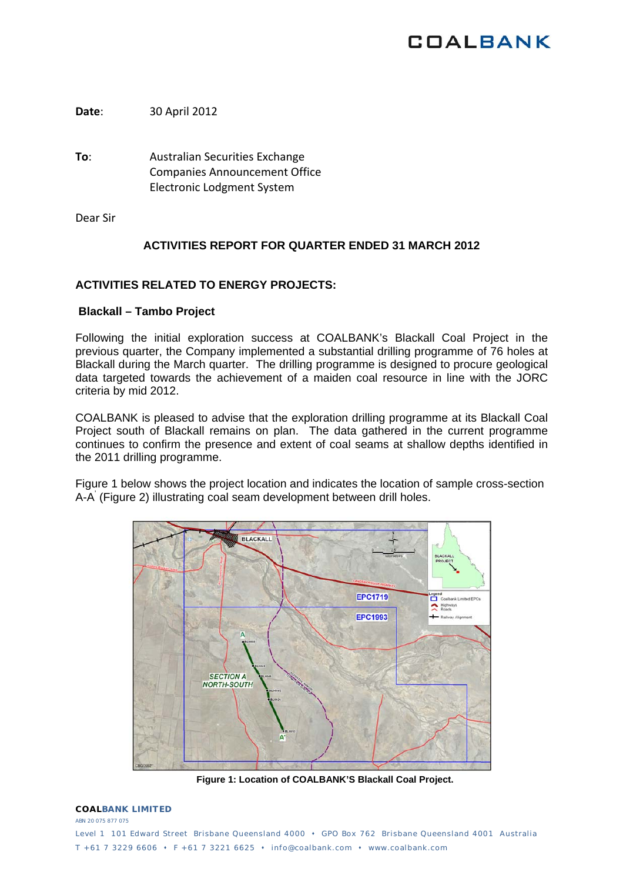## **COALBANK**

**Date**: 30 April 2012

**To**: Australian Securities Exchange Companies Announcement Office Electronic Lodgment System

Dear Sir

## **ACTIVITIES REPORT FOR QUARTER ENDED 31 MARCH 2012**

## **ACTIVITIES RELATED TO ENERGY PROJECTS:**

### **Blackall – Tambo Project**

Following the initial exploration success at COALBANK's Blackall Coal Project in the previous quarter, the Company implemented a substantial drilling programme of 76 holes at Blackall during the March quarter. The drilling programme is designed to procure geological data targeted towards the achievement of a maiden coal resource in line with the JORC criteria by mid 2012.

COALBANK is pleased to advise that the exploration drilling programme at its Blackall Coal Project south of Blackall remains on plan. The data gathered in the current programme continues to confirm the presence and extent of coal seams at shallow depths identified in the 2011 drilling programme.

Figure 1 below shows the project location and indicates the location of sample cross-section A-A' (Figure 2) illustrating coal seam development between drill holes.



**Figure 1: Location of COALBANK'S Blackall Coal Project.**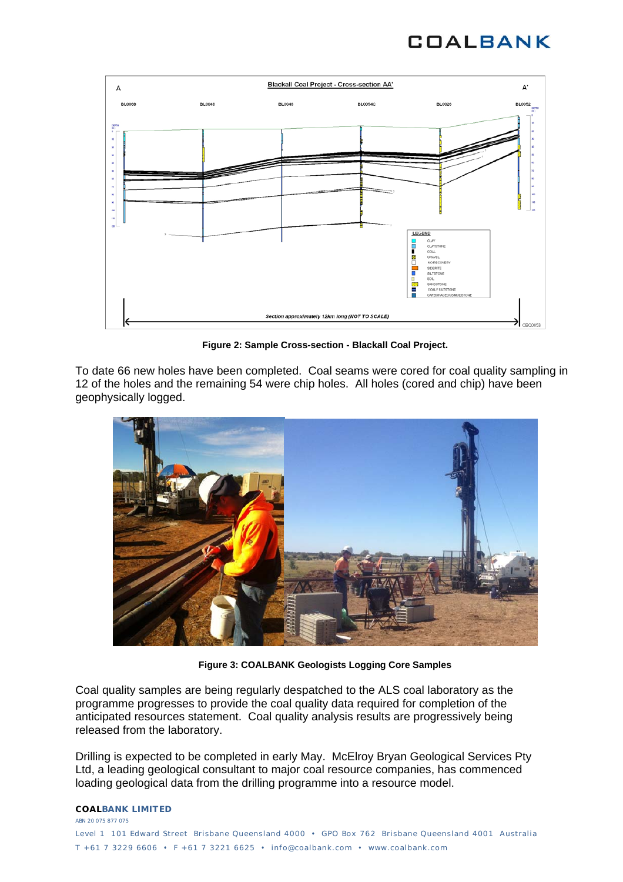# **COALBANK**



**Figure 2: Sample Cross-section - Blackall Coal Project.** 

To date 66 new holes have been completed. Coal seams were cored for coal quality sampling in 12 of the holes and the remaining 54 were chip holes. All holes (cored and chip) have been geophysically logged.



**Figure 3: COALBANK Geologists Logging Core Samples** 

Coal quality samples are being regularly despatched to the ALS coal laboratory as the programme progresses to provide the coal quality data required for completion of the anticipated resources statement. Coal quality analysis results are progressively being released from the laboratory.

Drilling is expected to be completed in early May. McElroy Bryan Geological Services Pty Ltd, a leading geological consultant to major coal resource companies, has commenced loading geological data from the drilling programme into a resource model.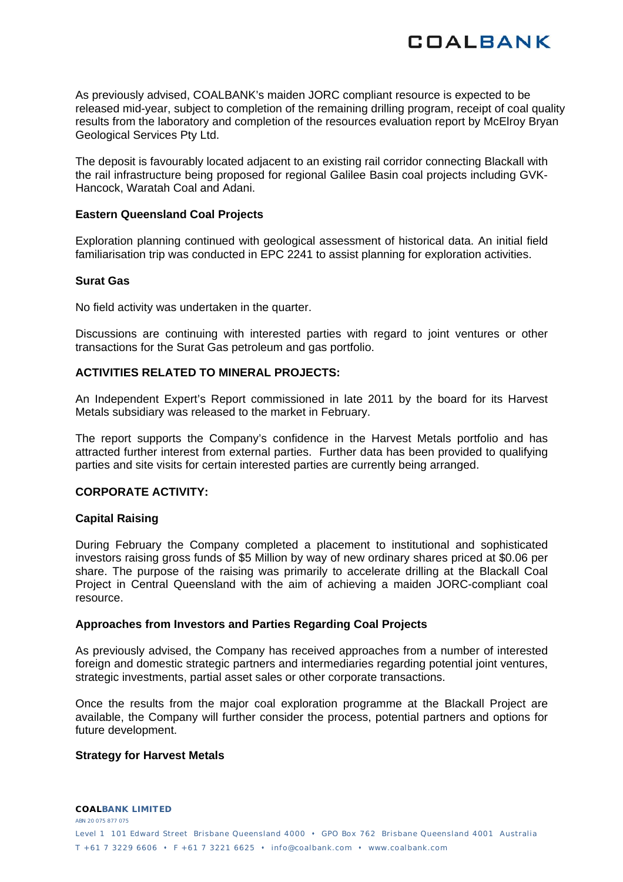

As previously advised, COALBANK's maiden JORC compliant resource is expected to be released mid-year, subject to completion of the remaining drilling program, receipt of coal quality results from the laboratory and completion of the resources evaluation report by McElroy Bryan Geological Services Pty Ltd.

The deposit is favourably located adjacent to an existing rail corridor connecting Blackall with the rail infrastructure being proposed for regional Galilee Basin coal projects including GVK-Hancock, Waratah Coal and Adani.

#### **Eastern Queensland Coal Projects**

Exploration planning continued with geological assessment of historical data. An initial field familiarisation trip was conducted in EPC 2241 to assist planning for exploration activities.

#### **Surat Gas**

No field activity was undertaken in the quarter.

Discussions are continuing with interested parties with regard to joint ventures or other transactions for the Surat Gas petroleum and gas portfolio.

## **ACTIVITIES RELATED TO MINERAL PROJECTS:**

An Independent Expert's Report commissioned in late 2011 by the board for its Harvest Metals subsidiary was released to the market in February.

The report supports the Company's confidence in the Harvest Metals portfolio and has attracted further interest from external parties. Further data has been provided to qualifying parties and site visits for certain interested parties are currently being arranged.

### **CORPORATE ACTIVITY:**

### **Capital Raising**

During February the Company completed a placement to institutional and sophisticated investors raising gross funds of \$5 Million by way of new ordinary shares priced at \$0.06 per share. The purpose of the raising was primarily to accelerate drilling at the Blackall Coal Project in Central Queensland with the aim of achieving a maiden JORC-compliant coal resource.

### **Approaches from Investors and Parties Regarding Coal Projects**

As previously advised, the Company has received approaches from a number of interested foreign and domestic strategic partners and intermediaries regarding potential joint ventures, strategic investments, partial asset sales or other corporate transactions.

Once the results from the major coal exploration programme at the Blackall Project are available, the Company will further consider the process, potential partners and options for future development.

#### **Strategy for Harvest Metals**